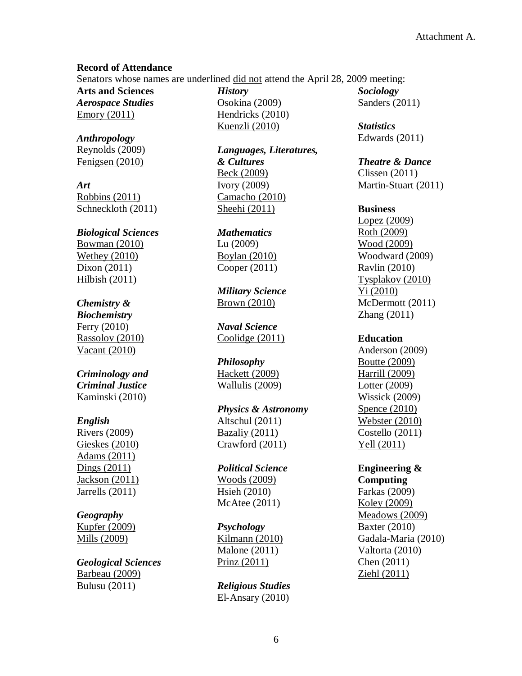#### **Record of Attendance**

Senators whose names are underlined did not attend the April 28, 2009 meeting:

**Arts and Sciences** *Aerospace Studies* Emory (2011)

*Anthropology* Reynolds (2009) Fenigsen (2010)

*Art* Robbins (2011) Schneckloth (2011)

# *Biological Sciences* Bowman (2010) Wethey (2010) Dixon (2011)

Hilbish (2011)

# *Chemistry &*

*Biochemistry* Ferry (2010) Rassolov (2010) Vacant (2010)

## *Criminology and Criminal Justice* Kaminski (2010)

## *English*

Rivers (2009) Gieskes (2010) Adams (2011) Dings (2011) Jackson (2011) Jarrells (2011)

## *Geography*

Kupfer (2009) Mills (2009)

### *Geological Sciences* Barbeau (2009) Bulusu (2011)

*History* Osokina (2009) Hendricks (2010) Kuenzli (2010)

*Languages, Literatures, & Cultures* Beck (2009) Ivory (2009) Camacho (2010) Sheehi (2011)

*Mathematics* Lu (2009) Boylan (2010) Cooper (2011)

*Military Science* Brown (2010)

*Naval Science* Coolidge (2011)

#### *Philosophy*

Hackett (2009) Wallulis (2009)

*Physics & Astronomy* Altschul (2011) Bazaliy (2011) Crawford (2011)

*Political Science* Woods (2009) Hsieh (2010) McAtee (2011)

#### *Psychology*

Kilmann (2010) Malone (2011) Prinz (2011)

*Religious Studies* El-Ansary (2010) *Sociology* Sanders (2011)

*Statistics* Edwards (2011)

#### *Theatre & Dance*

Clissen (2011) Martin-Stuart (2011)

#### **Business**

Lopez (2009) Roth (2009) Wood (2009) Woodward (2009) Ravlin (2010) Tysplakov (2010) Yi (2010) McDermott (2011) Zhang (2011)

#### **Education**

Anderson (2009) Boutte (2009) Harrill (2009) Lotter (2009) Wissick (2009) Spence (2010) Webster (2010) Costello (2011) Yell (2011)

#### **Engineering & Computing**

Farkas (2009) Koley (2009) Meadows (2009) Baxter (2010) Gadala-Maria (2010) Valtorta (2010) Chen (2011) Ziehl (2011)